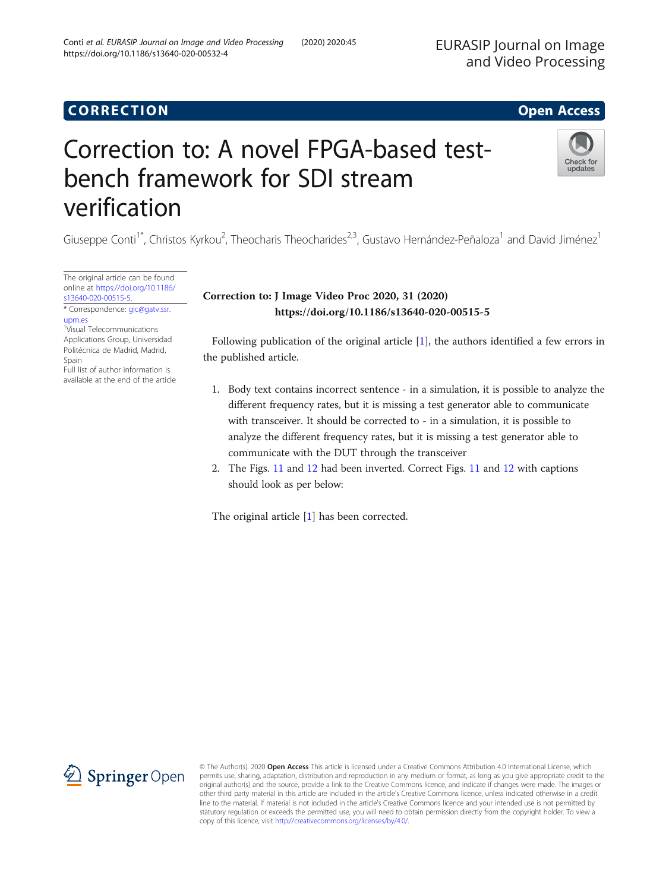## CORR EC TION Open [Access](http://crossmark.crossref.org/dialog/?doi=10.1186/s13640-020-00532-4&domain=pdf)

# Correction to: A novel FPGA-based testbench framework for SDI stream verification

Giuseppe Conti<sup>1\*</sup>, Christos Kyrkou<sup>2</sup>, Theocharis Theocharides<sup>2,3</sup>, Gustavo Hernández-Peñaloza<sup>1</sup> and David Jiménez<sup>1</sup>

The original article can be found online at [https://doi.org/10.1186/](https://doi.org/10.1186/s13640-020-00515-5) [s13640-020-00515-5](https://doi.org/10.1186/s13640-020-00515-5).

\* Correspondence: [gic@gatv.ssr.](mailto:gic@gatv.ssr.upm.es) [upm.es](mailto:gic@gatv.ssr.upm.es) 1 Visual Telecommunications Applications Group, Universidad Politécnica de Madrid, Madrid, Spain Full list of author information is available at the end of the article

## Correction to: J Image Video Proc 2020, 31 (2020) https://doi.org/10.1186/s13640-020-00515-5

Following publication of the original article [[1](#page-2-0)], the authors identified a few errors in the published article.

- 1. Body text contains incorrect sentence in a simulation, it is possible to analyze the different frequency rates, but it is missing a test generator able to communicate with transceiver. It should be corrected to - in a simulation, it is possible to analyze the different frequency rates, but it is missing a test generator able to communicate with the DUT through the transceiver
- 2. The Figs. [11](#page-1-0) and [12](#page-1-0) had been inverted. Correct Figs. [11](#page-1-0) and [12](#page-1-0) with captions should look as per below:

The original article [\[1](#page-2-0)] has been corrected.

© The Author(s). 2020 Open Access This article is licensed under a Creative Commons Attribution 4.0 International License, which permits use, sharing, adaptation, distribution and reproduction in any medium or format, as long as you give appropriate credit to the original author(s) and the source, provide a link to the Creative Commons licence, and indicate if changes were made. The images or other third party material in this article are included in the article's Creative Commons licence, unless indicated otherwise in a credit line to the material. If material is not included in the article's Creative Commons licence and your intended use is not permitted by statutory regulation or exceeds the permitted use, you will need to obtain permission directly from the copyright holder. To view a copy of this licence, visit <http://creativecommons.org/licenses/by/4.0/>.



EURASIP Journal on Image



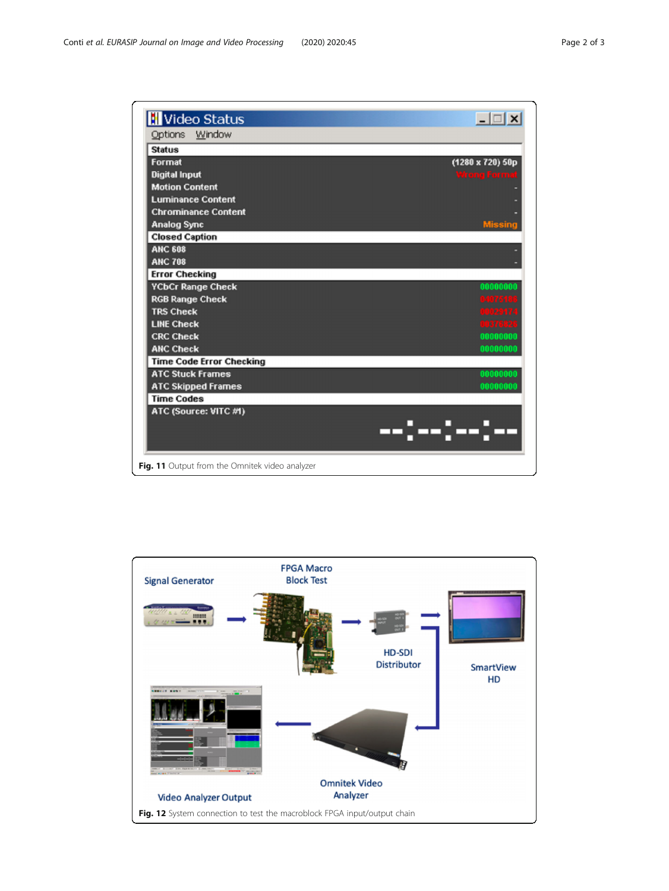<span id="page-1-0"></span>

| Video Status                                   | $ \Box$ $\times$    |
|------------------------------------------------|---------------------|
| Options Window                                 |                     |
| <b>Status</b>                                  |                     |
| Format                                         | (1280 x 720) 50p    |
| <b>Digital Input</b>                           | <b>Wrong Formet</b> |
| <b>Motion Content</b>                          |                     |
| <b>Luminance Content</b>                       |                     |
| <b>Chrominance Content</b>                     |                     |
| <b>Analog Sync</b>                             |                     |
| <b>Closed Caption</b>                          |                     |
| <b>ANC 608</b>                                 |                     |
| <b>ANC 708</b>                                 |                     |
| <b>Error Checking</b>                          |                     |
| <b>YCbCr Range Check</b>                       | 00000000            |
| <b>RGB Range Check</b>                         | 04075186            |
| <b>TRS Check</b>                               | 00029174            |
| <b>LINE Check</b>                              | 00376826            |
| <b>CRC Check</b>                               | 00000000            |
| <b>ANC Check</b>                               | 00000000            |
| <b>Time Code Error Checking</b>                |                     |
| <b>ATC Stuck Frames</b>                        | 00000000            |
| <b>ATC Skipped Frames</b>                      | 00000000            |
| <b>Time Codes</b>                              |                     |
| ATC (Source: VITC #1)                          |                     |
|                                                | --]--]--]--         |
| Fig. 11 Output from the Omnitek video analyzer |                     |